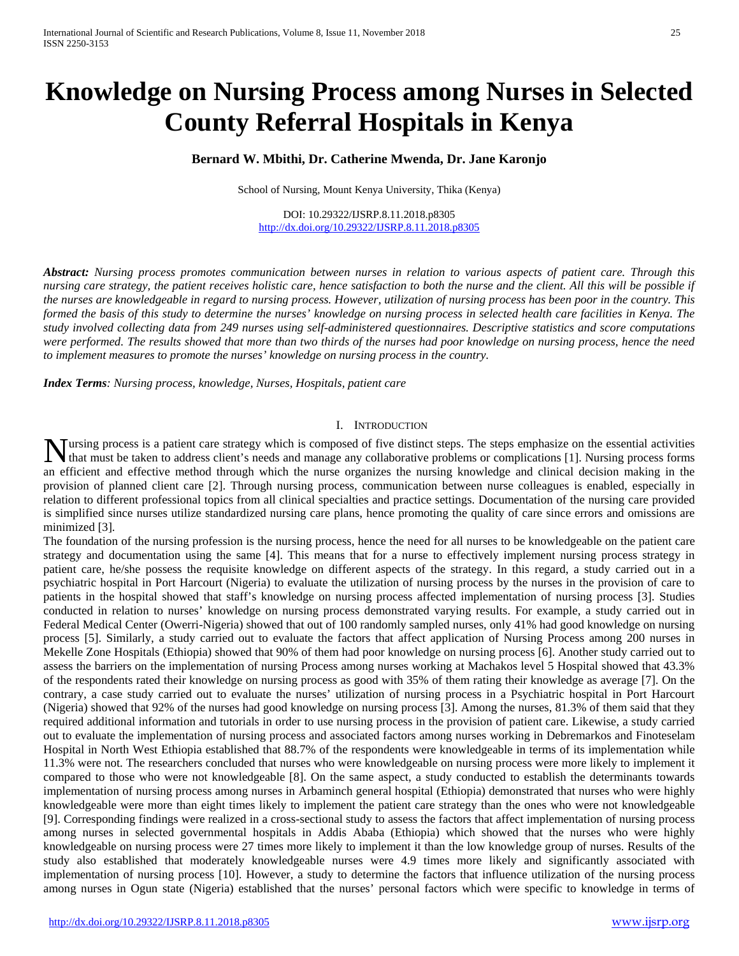# **Knowledge on Nursing Process among Nurses in Selected County Referral Hospitals in Kenya**

# **Bernard W. Mbithi, Dr. Catherine Mwenda, Dr. Jane Karonjo**

School of Nursing, Mount Kenya University, Thika (Kenya)

DOI: 10.29322/IJSRP.8.11.2018.p8305 <http://dx.doi.org/10.29322/IJSRP.8.11.2018.p8305>

*Abstract: Nursing process promotes communication between nurses in relation to various aspects of patient care. Through this nursing care strategy, the patient receives holistic care, hence satisfaction to both the nurse and the client. All this will be possible if the nurses are knowledgeable in regard to nursing process. However, utilization of nursing process has been poor in the country. This formed the basis of this study to determine the nurses' knowledge on nursing process in selected health care facilities in Kenya. The study involved collecting data from 249 nurses using self-administered questionnaires. Descriptive statistics and score computations were performed. The results showed that more than two thirds of the nurses had poor knowledge on nursing process, hence the need to implement measures to promote the nurses' knowledge on nursing process in the country.*

*Index Terms: Nursing process, knowledge, Nurses, Hospitals, patient care*

## I. INTRODUCTION

ursing process is a patient care strategy which is composed of five distinct steps. The steps emphasize on the essential activities **NURSE SET ASSESS** The steps emphasize on the essential activities that must be taken to address client's needs and manage any collaborative problems or complications [1]. Nursing process forms  $\frac{1}{2}$ an efficient and effective method through which the nurse organizes the nursing knowledge and clinical decision making in the provision of planned client care [2]. Through nursing process, communication between nurse colleagues is enabled, especially in relation to different professional topics from all clinical specialties and practice settings. Documentation of the nursing care provided is simplified since nurses utilize standardized nursing care plans, hence promoting the quality of care since errors and omissions are minimized [3].

The foundation of the nursing profession is the nursing process, hence the need for all nurses to be knowledgeable on the patient care strategy and documentation using the same [4]. This means that for a nurse to effectively implement nursing process strategy in patient care, he/she possess the requisite knowledge on different aspects of the strategy. In this regard, a study carried out in a psychiatric hospital in Port Harcourt (Nigeria) to evaluate the utilization of nursing process by the nurses in the provision of care to patients in the hospital showed that staff's knowledge on nursing process affected implementation of nursing process [3]. Studies conducted in relation to nurses' knowledge on nursing process demonstrated varying results. For example, a study carried out in Federal Medical Center (Owerri-Nigeria) showed that out of 100 randomly sampled nurses, only 41% had good knowledge on nursing process [5]. Similarly, a study carried out to evaluate the factors that affect application of Nursing Process among 200 nurses in Mekelle Zone Hospitals (Ethiopia) showed that 90% of them had poor knowledge on nursing process [6]. Another study carried out to assess the barriers on the implementation of nursing Process among nurses working at Machakos level 5 Hospital showed that 43.3% of the respondents rated their knowledge on nursing process as good with 35% of them rating their knowledge as average [7]. On the contrary, a case study carried out to evaluate the nurses' utilization of nursing process in a Psychiatric hospital in Port Harcourt (Nigeria) showed that 92% of the nurses had good knowledge on nursing process [3]. Among the nurses, 81.3% of them said that they required additional information and tutorials in order to use nursing process in the provision of patient care. Likewise, a study carried out to evaluate the implementation of nursing process and associated factors among nurses working in Debremarkos and Finoteselam Hospital in North West Ethiopia established that 88.7% of the respondents were knowledgeable in terms of its implementation while 11.3% were not. The researchers concluded that nurses who were knowledgeable on nursing process were more likely to implement it compared to those who were not knowledgeable [8]. On the same aspect, a study conducted to establish the determinants towards implementation of nursing process among nurses in Arbaminch general hospital (Ethiopia) demonstrated that nurses who were highly knowledgeable were more than eight times likely to implement the patient care strategy than the ones who were not knowledgeable [9]. Corresponding findings were realized in a cross-sectional study to assess the factors that affect implementation of nursing process among nurses in selected governmental hospitals in Addis Ababa (Ethiopia) which showed that the nurses who were highly knowledgeable on nursing process were 27 times more likely to implement it than the low knowledge group of nurses. Results of the study also established that moderately knowledgeable nurses were 4.9 times more likely and significantly associated with implementation of nursing process [10]. However, a study to determine the factors that influence utilization of the nursing process among nurses in Ogun state (Nigeria) established that the nurses' personal factors which were specific to knowledge in terms of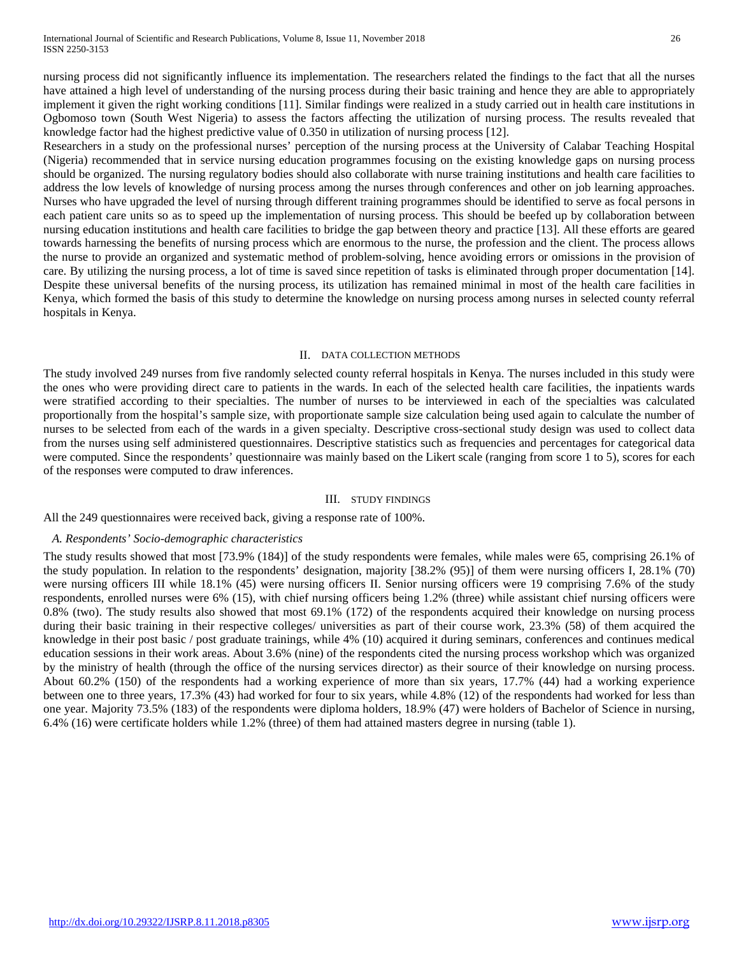nursing process did not significantly influence its implementation. The researchers related the findings to the fact that all the nurses have attained a high level of understanding of the nursing process during their basic training and hence they are able to appropriately implement it given the right working conditions [11]. Similar findings were realized in a study carried out in health care institutions in Ogbomoso town (South West Nigeria) to assess the factors affecting the utilization of nursing process. The results revealed that knowledge factor had the highest predictive value of 0.350 in utilization of nursing process [12].

Researchers in a study on the professional nurses' perception of the nursing process at the University of Calabar Teaching Hospital (Nigeria) recommended that in service nursing education programmes focusing on the existing knowledge gaps on nursing process should be organized. The nursing regulatory bodies should also collaborate with nurse training institutions and health care facilities to address the low levels of knowledge of nursing process among the nurses through conferences and other on job learning approaches. Nurses who have upgraded the level of nursing through different training programmes should be identified to serve as focal persons in each patient care units so as to speed up the implementation of nursing process. This should be beefed up by collaboration between nursing education institutions and health care facilities to bridge the gap between theory and practice [13]. All these efforts are geared towards harnessing the benefits of nursing process which are enormous to the nurse, the profession and the client. The process allows the nurse to provide an organized and systematic method of problem-solving, hence avoiding errors or omissions in the provision of care. By utilizing the nursing process, a lot of time is saved since repetition of tasks is eliminated through proper documentation [14]. Despite these universal benefits of the nursing process, its utilization has remained minimal in most of the health care facilities in Kenya, which formed the basis of this study to determine the knowledge on nursing process among nurses in selected county referral hospitals in Kenya.

#### II. DATA COLLECTION METHODS

The study involved 249 nurses from five randomly selected county referral hospitals in Kenya. The nurses included in this study were the ones who were providing direct care to patients in the wards. In each of the selected health care facilities, the inpatients wards were stratified according to their specialties. The number of nurses to be interviewed in each of the specialties was calculated proportionally from the hospital's sample size, with proportionate sample size calculation being used again to calculate the number of nurses to be selected from each of the wards in a given specialty. Descriptive cross-sectional study design was used to collect data from the nurses using self administered questionnaires. Descriptive statistics such as frequencies and percentages for categorical data were computed. Since the respondents' questionnaire was mainly based on the Likert scale (ranging from score 1 to 5), scores for each of the responses were computed to draw inferences.

#### III. STUDY FINDINGS

All the 249 questionnaires were received back, giving a response rate of 100%.

#### *A. Respondents' Socio-demographic characteristics*

The study results showed that most [73.9% (184)] of the study respondents were females, while males were 65, comprising 26.1% of the study population. In relation to the respondents' designation, majority [38.2% (95)] of them were nursing officers I, 28.1% (70) were nursing officers III while 18.1% (45) were nursing officers II. Senior nursing officers were 19 comprising 7.6% of the study respondents, enrolled nurses were 6% (15), with chief nursing officers being 1.2% (three) while assistant chief nursing officers were 0.8% (two). The study results also showed that most 69.1% (172) of the respondents acquired their knowledge on nursing process during their basic training in their respective colleges/ universities as part of their course work, 23.3% (58) of them acquired the knowledge in their post basic / post graduate trainings, while 4% (10) acquired it during seminars, conferences and continues medical education sessions in their work areas. About 3.6% (nine) of the respondents cited the nursing process workshop which was organized by the ministry of health (through the office of the nursing services director) as their source of their knowledge on nursing process. About 60.2% (150) of the respondents had a working experience of more than six years, 17.7% (44) had a working experience between one to three years, 17.3% (43) had worked for four to six years, while 4.8% (12) of the respondents had worked for less than one year. Majority 73.5% (183) of the respondents were diploma holders, 18.9% (47) were holders of Bachelor of Science in nursing, 6.4% (16) were certificate holders while 1.2% (three) of them had attained masters degree in nursing (table 1).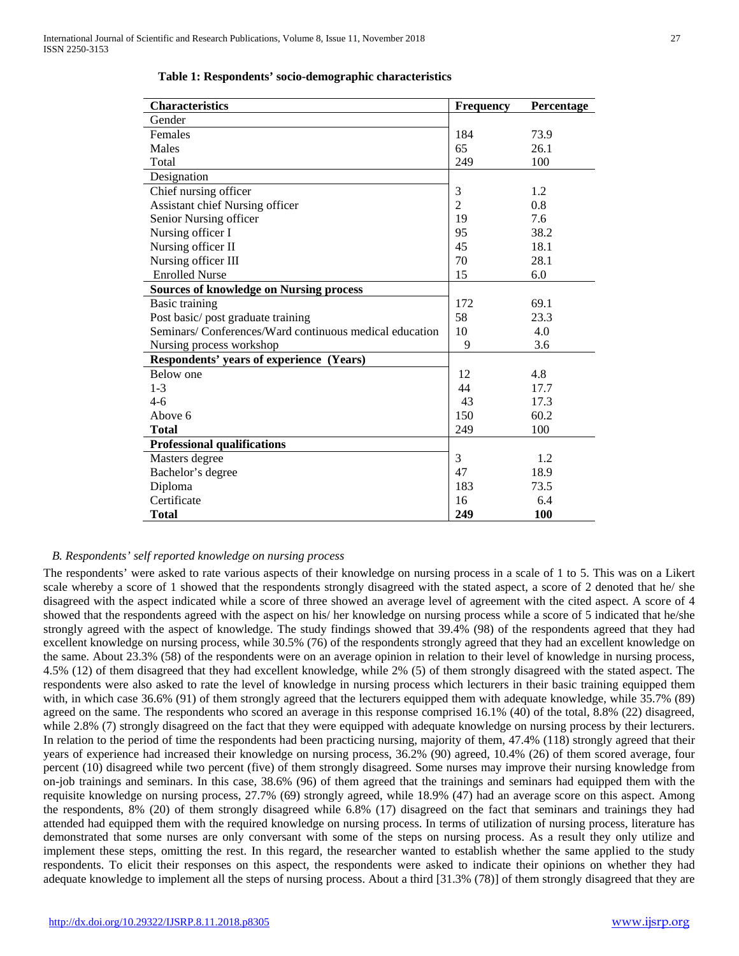| <b>Characteristics</b>                                 | <b>Frequency</b> | Percentage |
|--------------------------------------------------------|------------------|------------|
| Gender                                                 |                  |            |
| Females                                                | 184              | 73.9       |
| Males                                                  | 65               | 26.1       |
| Total                                                  | 249              | 100        |
| Designation                                            |                  |            |
| Chief nursing officer                                  | 3                | 1.2        |
| <b>Assistant chief Nursing officer</b>                 | $\overline{2}$   | 0.8        |
| Senior Nursing officer                                 | 19               | 7.6        |
| Nursing officer I                                      | 95               | 38.2       |
| Nursing officer II                                     | 45               | 18.1       |
| Nursing officer III                                    | 70               | 28.1       |
| <b>Enrolled Nurse</b>                                  | 15               | 6.0        |
| <b>Sources of knowledge on Nursing process</b>         |                  |            |
| <b>Basic training</b>                                  | 172              | 69.1       |
| Post basic/post graduate training                      | 58               | 23.3       |
| Seminars/Conferences/Ward continuous medical education | 10               | 4.0        |
| Nursing process workshop                               | 9                | 3.6        |
| Respondents' years of experience (Years)               |                  |            |
| Below one                                              | 12               | 4.8        |
| $1 - 3$                                                | 44               | 17.7       |
| $4-6$                                                  | 43               | 17.3       |
| Above 6                                                | 150              | 60.2       |
| <b>Total</b>                                           | 249              | 100        |
| <b>Professional qualifications</b>                     |                  |            |
| Masters degree                                         | 3                | 1.2        |
| Bachelor's degree                                      | 47               | 18.9       |
| Diploma                                                | 183              | 73.5       |
| Certificate                                            | 16               | 6.4        |
| Total                                                  | 249              | 100        |

 **Table 1: Respondents' socio-demographic characteristics**

## *B. Respondents' self reported knowledge on nursing process*

The respondents' were asked to rate various aspects of their knowledge on nursing process in a scale of 1 to 5. This was on a Likert scale whereby a score of 1 showed that the respondents strongly disagreed with the stated aspect, a score of 2 denoted that he/ she disagreed with the aspect indicated while a score of three showed an average level of agreement with the cited aspect. A score of 4 showed that the respondents agreed with the aspect on his/ her knowledge on nursing process while a score of 5 indicated that he/she strongly agreed with the aspect of knowledge. The study findings showed that 39.4% (98) of the respondents agreed that they had excellent knowledge on nursing process, while 30.5% (76) of the respondents strongly agreed that they had an excellent knowledge on the same. About 23.3% (58) of the respondents were on an average opinion in relation to their level of knowledge in nursing process, 4.5% (12) of them disagreed that they had excellent knowledge, while 2% (5) of them strongly disagreed with the stated aspect. The respondents were also asked to rate the level of knowledge in nursing process which lecturers in their basic training equipped them with, in which case 36.6% (91) of them strongly agreed that the lecturers equipped them with adequate knowledge, while 35.7% (89) agreed on the same. The respondents who scored an average in this response comprised 16.1% (40) of the total, 8.8% (22) disagreed, while 2.8% (7) strongly disagreed on the fact that they were equipped with adequate knowledge on nursing process by their lecturers. In relation to the period of time the respondents had been practicing nursing, majority of them, 47.4% (118) strongly agreed that their years of experience had increased their knowledge on nursing process, 36.2% (90) agreed, 10.4% (26) of them scored average, four percent (10) disagreed while two percent (five) of them strongly disagreed. Some nurses may improve their nursing knowledge from on-job trainings and seminars. In this case, 38.6% (96) of them agreed that the trainings and seminars had equipped them with the requisite knowledge on nursing process, 27.7% (69) strongly agreed, while 18.9% (47) had an average score on this aspect. Among the respondents, 8% (20) of them strongly disagreed while 6.8% (17) disagreed on the fact that seminars and trainings they had attended had equipped them with the required knowledge on nursing process. In terms of utilization of nursing process, literature has demonstrated that some nurses are only conversant with some of the steps on nursing process. As a result they only utilize and implement these steps, omitting the rest. In this regard, the researcher wanted to establish whether the same applied to the study respondents. To elicit their responses on this aspect, the respondents were asked to indicate their opinions on whether they had adequate knowledge to implement all the steps of nursing process. About a third [31.3% (78)] of them strongly disagreed that they are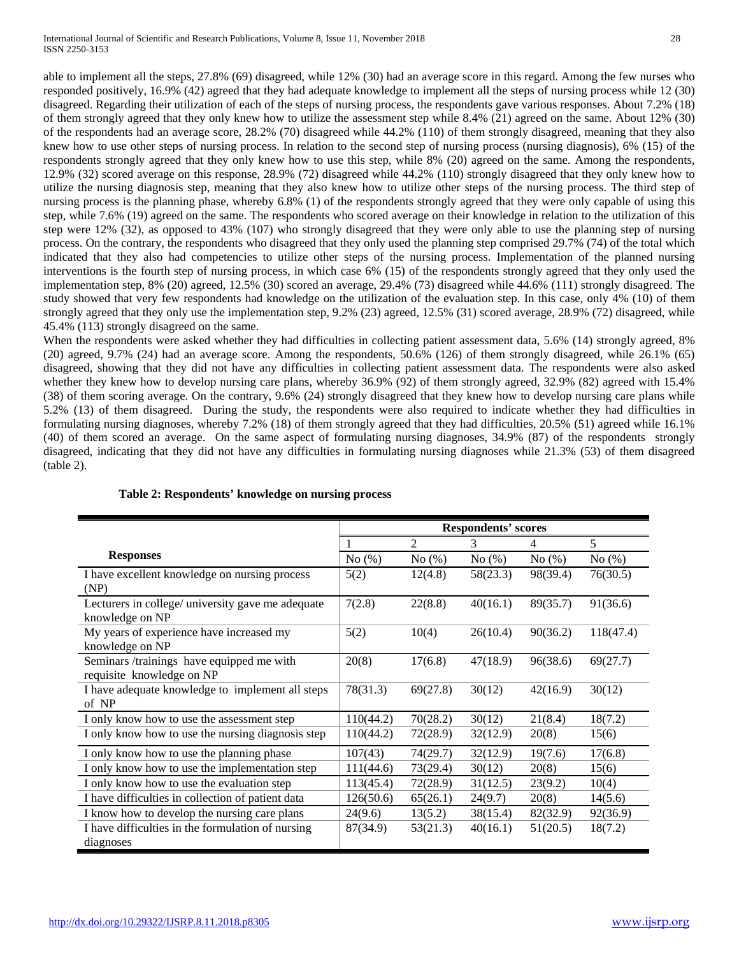able to implement all the steps, 27.8% (69) disagreed, while 12% (30) had an average score in this regard. Among the few nurses who responded positively, 16.9% (42) agreed that they had adequate knowledge to implement all the steps of nursing process while 12 (30) disagreed. Regarding their utilization of each of the steps of nursing process, the respondents gave various responses. About 7.2% (18) of them strongly agreed that they only knew how to utilize the assessment step while 8.4% (21) agreed on the same. About 12% (30) of the respondents had an average score, 28.2% (70) disagreed while 44.2% (110) of them strongly disagreed, meaning that they also knew how to use other steps of nursing process. In relation to the second step of nursing process (nursing diagnosis), 6% (15) of the respondents strongly agreed that they only knew how to use this step, while 8% (20) agreed on the same. Among the respondents, 12.9% (32) scored average on this response, 28.9% (72) disagreed while 44.2% (110) strongly disagreed that they only knew how to utilize the nursing diagnosis step, meaning that they also knew how to utilize other steps of the nursing process. The third step of nursing process is the planning phase, whereby 6.8% (1) of the respondents strongly agreed that they were only capable of using this step, while 7.6% (19) agreed on the same. The respondents who scored average on their knowledge in relation to the utilization of this step were 12% (32), as opposed to 43% (107) who strongly disagreed that they were only able to use the planning step of nursing process. On the contrary, the respondents who disagreed that they only used the planning step comprised 29.7% (74) of the total which indicated that they also had competencies to utilize other steps of the nursing process. Implementation of the planned nursing interventions is the fourth step of nursing process, in which case 6% (15) of the respondents strongly agreed that they only used the implementation step, 8% (20) agreed, 12.5% (30) scored an average, 29.4% (73) disagreed while 44.6% (111) strongly disagreed. The study showed that very few respondents had knowledge on the utilization of the evaluation step. In this case, only 4% (10) of them strongly agreed that they only use the implementation step, 9.2% (23) agreed, 12.5% (31) scored average, 28.9% (72) disagreed, while 45.4% (113) strongly disagreed on the same.

When the respondents were asked whether they had difficulties in collecting patient assessment data, 5.6% (14) strongly agreed, 8% (20) agreed, 9.7% (24) had an average score. Among the respondents, 50.6% (126) of them strongly disagreed, while 26.1% (65) disagreed, showing that they did not have any difficulties in collecting patient assessment data. The respondents were also asked whether they knew how to develop nursing care plans, whereby 36.9% (92) of them strongly agreed, 32.9% (82) agreed with 15.4% (38) of them scoring average. On the contrary, 9.6% (24) strongly disagreed that they knew how to develop nursing care plans while 5.2% (13) of them disagreed. During the study, the respondents were also required to indicate whether they had difficulties in formulating nursing diagnoses, whereby 7.2% (18) of them strongly agreed that they had difficulties, 20.5% (51) agreed while 16.1% (40) of them scored an average. On the same aspect of formulating nursing diagnoses, 34.9% (87) of the respondents strongly disagreed, indicating that they did not have any difficulties in formulating nursing diagnoses while 21.3% (53) of them disagreed (table 2).

|                                                                        | <b>Respondents' scores</b> |                |          |          |           |
|------------------------------------------------------------------------|----------------------------|----------------|----------|----------|-----------|
|                                                                        |                            | $\overline{c}$ | 3        | 4        | 5         |
| <b>Responses</b>                                                       | No(%)                      | No(%)          | No(%)    | No(%)    | No $(\%)$ |
| I have excellent knowledge on nursing process<br>(NP)                  | 5(2)                       | 12(4.8)        | 58(23.3) | 98(39.4) | 76(30.5)  |
| Lecturers in college/ university gave me adequate<br>knowledge on NP   | 7(2.8)                     | 22(8.8)        | 40(16.1) | 89(35.7) | 91(36.6)  |
| My years of experience have increased my<br>knowledge on NP            | 5(2)                       | 10(4)          | 26(10.4) | 90(36.2) | 118(47.4) |
| Seminars /trainings have equipped me with<br>requisite knowledge on NP | 20(8)                      | 17(6.8)        | 47(18.9) | 96(38.6) | 69(27.7)  |
| I have adequate knowledge to implement all steps<br>of NP              | 78(31.3)                   | 69(27.8)       | 30(12)   | 42(16.9) | 30(12)    |
| I only know how to use the assessment step                             | 110(44.2)                  | 70(28.2)       | 30(12)   | 21(8.4)  | 18(7.2)   |
| I only know how to use the nursing diagnosis step                      | 110(44.2)                  | 72(28.9)       | 32(12.9) | 20(8)    | 15(6)     |
| I only know how to use the planning phase                              | 107(43)                    | 74(29.7)       | 32(12.9) | 19(7.6)  | 17(6.8)   |
| I only know how to use the implementation step                         | 111(44.6)                  | 73(29.4)       | 30(12)   | 20(8)    | 15(6)     |
| I only know how to use the evaluation step                             | 113(45.4)                  | 72(28.9)       | 31(12.5) | 23(9.2)  | 10(4)     |
| I have difficulties in collection of patient data                      | 126(50.6)                  | 65(26.1)       | 24(9.7)  | 20(8)    | 14(5.6)   |
| I know how to develop the nursing care plans                           | 24(9.6)                    | 13(5.2)        | 38(15.4) | 82(32.9) | 92(36.9)  |
| I have difficulties in the formulation of nursing<br>diagnoses         | 87(34.9)                   | 53(21.3)       | 40(16.1) | 51(20.5) | 18(7.2)   |

# **Table 2: Respondents' knowledge on nursing process**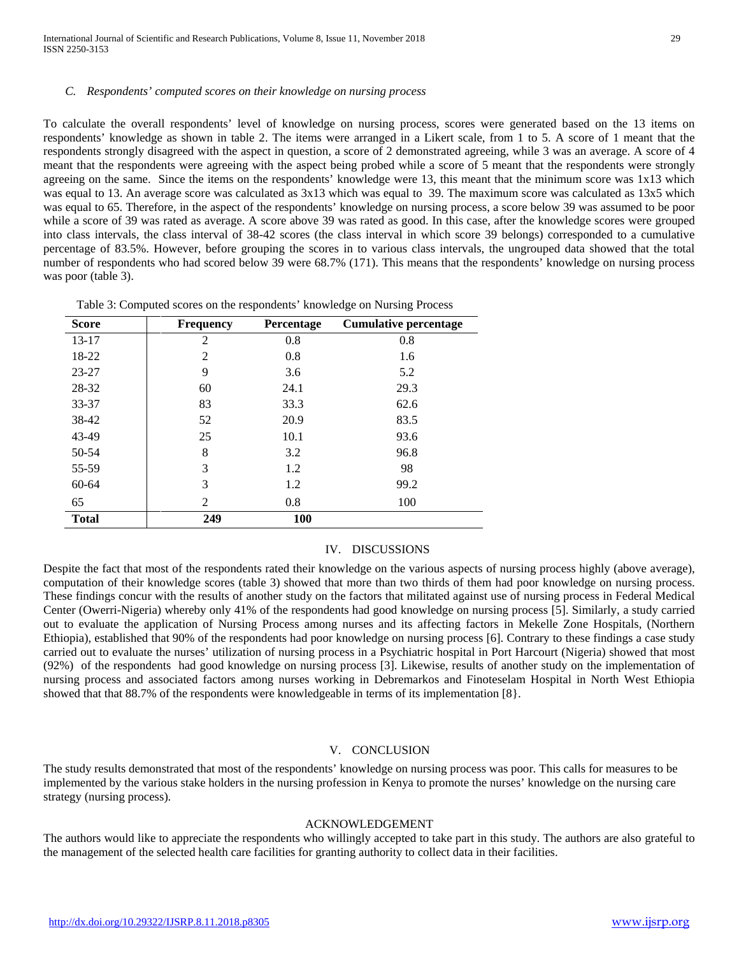#### *C. Respondents' computed scores on their knowledge on nursing process*

To calculate the overall respondents' level of knowledge on nursing process, scores were generated based on the 13 items on respondents' knowledge as shown in table 2. The items were arranged in a Likert scale, from 1 to 5. A score of 1 meant that the respondents strongly disagreed with the aspect in question, a score of 2 demonstrated agreeing, while 3 was an average. A score of 4 meant that the respondents were agreeing with the aspect being probed while a score of 5 meant that the respondents were strongly agreeing on the same. Since the items on the respondents' knowledge were 13, this meant that the minimum score was 1x13 which was equal to 13. An average score was calculated as 3x13 which was equal to 39. The maximum score was calculated as 13x5 which was equal to 65. Therefore, in the aspect of the respondents' knowledge on nursing process, a score below 39 was assumed to be poor while a score of 39 was rated as average. A score above 39 was rated as good. In this case, after the knowledge scores were grouped into class intervals, the class interval of 38-42 scores (the class interval in which score 39 belongs) corresponded to a cumulative percentage of 83.5%. However, before grouping the scores in to various class intervals, the ungrouped data showed that the total number of respondents who had scored below 39 were 68.7% (171). This means that the respondents' knowledge on nursing process was poor (table 3).

#### Table 3: Computed scores on the respondents' knowledge on Nursing Process

| <b>Score</b> | <b>Frequency</b> | Percentage | <b>Cumulative percentage</b> |
|--------------|------------------|------------|------------------------------|
| $13 - 17$    | 2                | 0.8        | 0.8                          |
| 18-22        | $\mathfrak{D}$   | 0.8        | 1.6                          |
| $23 - 27$    | 9                | 3.6        | 5.2                          |
| 28-32        | 60               | 24.1       | 29.3                         |
| 33-37        | 83               | 33.3       | 62.6                         |
| 38-42        | 52               | 20.9       | 83.5                         |
| 43-49        | 25               | 10.1       | 93.6                         |
| 50-54        | 8                | 3.2        | 96.8                         |
| 55-59        | 3                | 1.2        | 98                           |
| 60-64        | 3                | 1.2        | 99.2                         |
| 65           | 2                | 0.8        | 100                          |
| <b>Total</b> | 249              | 100        |                              |

# IV. DISCUSSIONS

Despite the fact that most of the respondents rated their knowledge on the various aspects of nursing process highly (above average), computation of their knowledge scores (table 3) showed that more than two thirds of them had poor knowledge on nursing process. These findings concur with the results of another study on the factors that militated against use of nursing process in Federal Medical Center (Owerri-Nigeria) whereby only 41% of the respondents had good knowledge on nursing process [5]. Similarly, a study carried out to evaluate the application of Nursing Process among nurses and its affecting factors in Mekelle Zone Hospitals, (Northern Ethiopia), established that 90% of the respondents had poor knowledge on nursing process [6]. Contrary to these findings a case study carried out to evaluate the nurses' utilization of nursing process in a Psychiatric hospital in Port Harcourt (Nigeria) showed that most (92%) of the respondents had good knowledge on nursing process [3]. Likewise, results of another study on the implementation of nursing process and associated factors among nurses working in Debremarkos and Finoteselam Hospital in North West Ethiopia showed that that 88.7% of the respondents were knowledgeable in terms of its implementation [8}.

# V. CONCLUSION

The study results demonstrated that most of the respondents' knowledge on nursing process was poor. This calls for measures to be implemented by the various stake holders in the nursing profession in Kenya to promote the nurses' knowledge on the nursing care strategy (nursing process).

#### ACKNOWLEDGEMENT

The authors would like to appreciate the respondents who willingly accepted to take part in this study. The authors are also grateful to the management of the selected health care facilities for granting authority to collect data in their facilities.